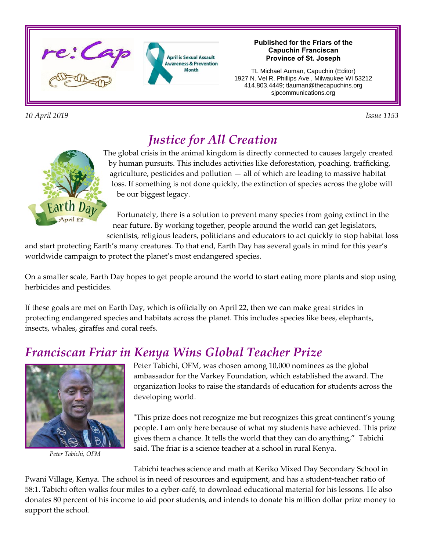

*10 April 2019 Issue 1153* 

#### **Published for the Friars of the Capuchin Franciscan Province of St. Joseph**

TL Michael Auman, Capuchin (Editor) 1927 N. Vel R. Phillips Ave., Milwaukee WI 53212 414.803.4449; tlauman@thecapuchins.org sjpcommunications.org



# *Justice for All Creation*

The global crisis in the animal kingdom is directly connected to causes largely created by human pursuits. This includes activities like deforestation, poaching, trafficking, agriculture, pesticides and pollution — all of which are leading to massive habitat loss. If something is not done quickly, the extinction of species across the globe will be our biggest legacy.

Fortunately, there is a solution to prevent many species from going extinct in the near future. By working together, people around the world can get legislators, scientists, religious leaders, politicians and educators to act quickly to stop habitat loss

and start protecting Earth's many creatures. To that end, Earth Day has several goals in mind for this year's worldwide campaign to protect the planet's most endangered species.

On a smaller scale, Earth Day hopes to get people around the world to start eating more plants and stop using herbicides and pesticides.

If these goals are met on Earth Day, which is officially on April 22, then we can make great strides in protecting endangered species and habitats across the planet. This includes species like bees, elephants, insects, whales, giraffes and coral reefs.

## *Franciscan Friar in Kenya Wins Global Teacher Prize*



*Peter Tabichi, OFM*

Peter Tabichi, OFM, was chosen among 10,000 nominees as the global ambassador for the Varkey Foundation, which established the award. The organization looks to raise the standards of education for students across the developing world.

"This prize does not recognize me but recognizes this great continent's young people. I am only here because of what my students have achieved. This prize gives them a chance. It tells the world that they can do anything," Tabichi said. The friar is a science teacher at a school in rural Kenya.

Tabichi teaches science and math at Keriko Mixed Day Secondary School in Pwani Village, Kenya. The school is in need of resources and equipment, and has a student-teacher ratio of 58:1. Tabichi often walks four miles to a cyber-café, to download educational material for his lessons. He also donates 80 percent of his income to aid poor students, and intends to donate his million dollar prize money to support the school.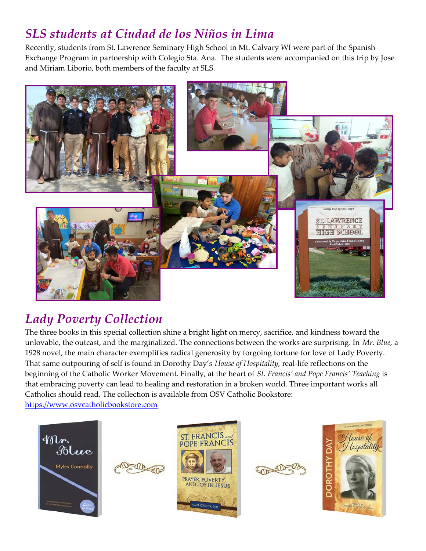# *SLS students at Ciudad de los Niños in Lima*

Recently, students from St. Lawrence Seminary High School in Mt. Calvary WI were part of the Spanish Exchange Program in partnership with Colegio Sta. Ana. The students were accompanied on this trip by Jose and Miriam Liborio, both members of the faculty at SLS.



# *Lady Poverty Collection*

The three books in this special collection shine a bright light on mercy, sacrifice, and kindness toward the unlovable, the outcast, and the marginalized. The connections between the works are surprising. In *Mr. Blue,* a 1928 novel, the main character exemplifies radical generosity by forgoing fortune for love of Lady Poverty. That same outpouring of self is found in Dorothy Day's *House of Hospitality,* real-life reflections on the beginning of the Catholic Worker Movement. Finally, at the heart of *St. Francis' and Pope Francis' Teaching* is that embracing poverty can lead to healing and restoration in a broken world. Three important works all Catholics should read. The collection is available from OSV Catholic Bookstore:

<https://www.osvcatholicbookstore.com>









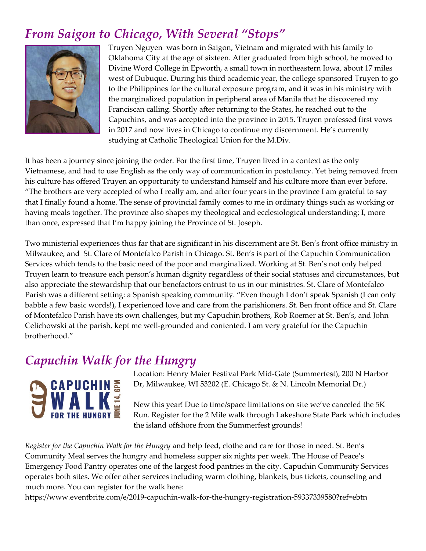# *From Saigon to Chicago, With Several "Stops"*



Truyen Nguyen was born in Saigon, Vietnam and migrated with his family to Oklahoma City at the age of sixteen. After graduated from high school, he moved to Divine Word College in Epworth, a small town in northeastern Iowa, about 17 miles west of Dubuque. During his third academic year, the college sponsored Truyen to go to the Philippines for the cultural exposure program, and it was in his ministry with the marginalized population in peripheral area of Manila that he discovered my Franciscan calling. Shortly after returning to the States, he reached out to the Capuchins, and was accepted into the province in 2015. Truyen professed first vows in 2017 and now lives in Chicago to continue my discernment. He's currently studying at Catholic Theological Union for the M.Div.

It has been a journey since joining the order. For the first time, Truyen lived in a context as the only Vietnamese, and had to use English as the only way of communication in postulancy. Yet being removed from his culture has offered Truyen an opportunity to understand himself and his culture more than ever before. "The brothers are very accepted of who I really am, and after four years in the province I am grateful to say that I finally found a home. The sense of provincial family comes to me in ordinary things such as working or having meals together. The province also shapes my theological and ecclesiological understanding; I, more than once, expressed that I'm happy joining the Province of St. Joseph.

Two ministerial experiences thus far that are significant in his discernment are St. Ben's front office ministry in Milwaukee, and St. Clare of Montefalco Parish in Chicago. St. Ben's is part of the Capuchin Communication Services which tends to the basic need of the poor and marginalized. Working at St. Ben's not only helped Truyen learn to treasure each person's human dignity regardless of their social statuses and circumstances, but also appreciate the stewardship that our benefactors entrust to us in our ministries. St. Clare of Montefalco Parish was a different setting: a Spanish speaking community. "Even though I don't speak Spanish (I can only babble a few basic words!), I experienced love and care from the parishioners. St. Ben front office and St. Clare of Montefalco Parish have its own challenges, but my Capuchin brothers, Rob Roemer at St. Ben's, and John Celichowski at the parish, kept me well-grounded and contented. I am very grateful for the Capuchin brotherhood."

## *Capuchin Walk for the Hungry*



Location: Henry Maier Festival Park Mid-Gate (Summerfest), 200 N Harbor Dr, Milwaukee, WI 53202 (E. Chicago St. & N. Lincoln Memorial Dr.)

New this year! Due to time/space limitations on site we've canceled the 5K Run. Register for the 2 Mile walk through Lakeshore State Park which includes the island offshore from the Summerfest grounds!

*Register for the Capuchin Walk for the Hungry* and help feed, clothe and care for those in need. St. Ben's Community Meal serves the hungry and homeless supper six nights per week. The House of Peace's Emergency Food Pantry operates one of the largest food pantries in the city. Capuchin Community Services operates both sites. We offer other services including warm clothing, blankets, bus tickets, counseling and much more. You can register for the walk here:

https://www.eventbrite.com/e/2019-capuchin-walk-for-the-hungry-registration-59337339580?ref=ebtn